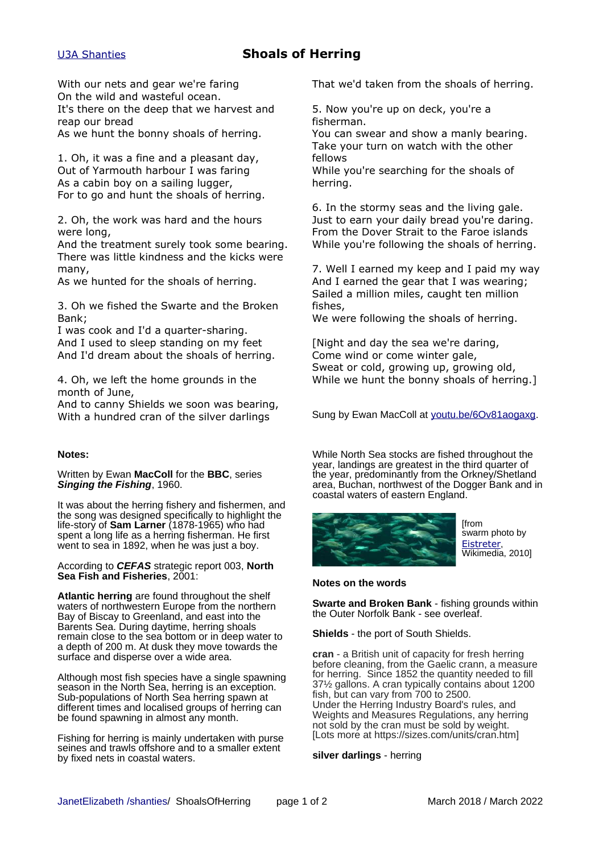# [U3A Shanties](http://www.janetelizabeth.org.uk/shanties/u3ashantieslink.html) **Shoals of Herring**

With our nets and gear we're faring On the wild and wasteful ocean. It's there on the deep that we harvest and reap our bread

As we hunt the bonny shoals of herring.

1. Oh, it was a fine and a pleasant day, Out of Yarmouth harbour I was faring As a cabin boy on a sailing lugger, For to go and hunt the shoals of herring.

2. Oh, the work was hard and the hours were long,

And the treatment surely took some bearing. There was little kindness and the kicks were many,

As we hunted for the shoals of herring.

3. Oh we fished the Swarte and the Broken Bank;

I was cook and I'd a quarter-sharing. And I used to sleep standing on my feet And I'd dream about the shoals of herring.

4. Oh, we left the home grounds in the month of June,

And to canny Shields we soon was bearing, With a hundred cran of the silver darlings

### **Notes:**

Written by Ewan **MacColl** for the **BBC**, series **Singing the Fishing**, 1960.

It was about the herring fishery and fishermen, and the song was designed specifically to highlight the life-story of **Sam Larner** (1878-1965) who had spent a long life as a herring fisherman. He first went to sea in 1892, when he was just a boy.

According to **CEFAS** strategic report 003, **North Sea Fish and Fisheries**, 2001:

**Atlantic herring** are found throughout the shelf waters of northwestern Europe from the northern Bay of Biscay to Greenland, and east into the Barents Sea. During daytime, herring shoals remain close to the sea bottom or in deep water to a depth of 200 m. At dusk they move towards the surface and disperse over a wide area.

Although most fish species have a single spawning season in the North Sea, herring is an exception. Sub-populations of North Sea herring spawn at different times and localised groups of herring can be found spawning in almost any month.

Fishing for herring is mainly undertaken with purse seines and trawls offshore and to a smaller extent by fixed nets in coastal waters.

That we'd taken from the shoals of herring.

5. Now you're up on deck, you're a fisherman.

You can swear and show a manly bearing. Take your turn on watch with the other fellows

While you're searching for the shoals of herring.

6. In the stormy seas and the living gale. Just to earn your daily bread you're daring. From the Dover Strait to the Faroe islands While you're following the shoals of herring.

7. Well I earned my keep and I paid my way And I earned the gear that I was wearing; Sailed a million miles, caught ten million fishes,

We were following the shoals of herring.

[Night and day the sea we're daring, Come wind or come winter gale, Sweat or cold, growing up, growing old, While we hunt the bonny shoals of herring.]

Sung by Ewan MacColl at [youtu.be/6Ov81aogaxg.](https://youtu.be/6Ov81aogaxg)

While North Sea stocks are fished throughout the year, landings are greatest in the third quarter of the year, predominantly from the Orkney/Shetland area, Buchan, northwest of the Dogger Bank and in coastal waters of eastern England.



**Ifrom** swarm photo by [Eistreter](https://commons.wikimedia.org/wiki/User:Eistreter), Wikimedia, 2010]

### **Notes on the words**

**Swarte and Broken Bank** - fishing grounds within the Outer Norfolk Bank - see overleaf.

**Shields** - the port of South Shields.

**cran** - a British unit of capacity for fresh herring before cleaning, from the Gaelic crann, a measure for herring. Since 1852 the quantity needed to fill 37½ gallons. A cran typically contains about 1200 fish, but can vary from 700 to 2500. Under the Herring Industry Board's rules, and Weights and Measures Regulations, any herring not sold by the cran must be sold by weight. [Lots more at https://sizes.com/units/cran.htm]

### **silver darlings** - herring